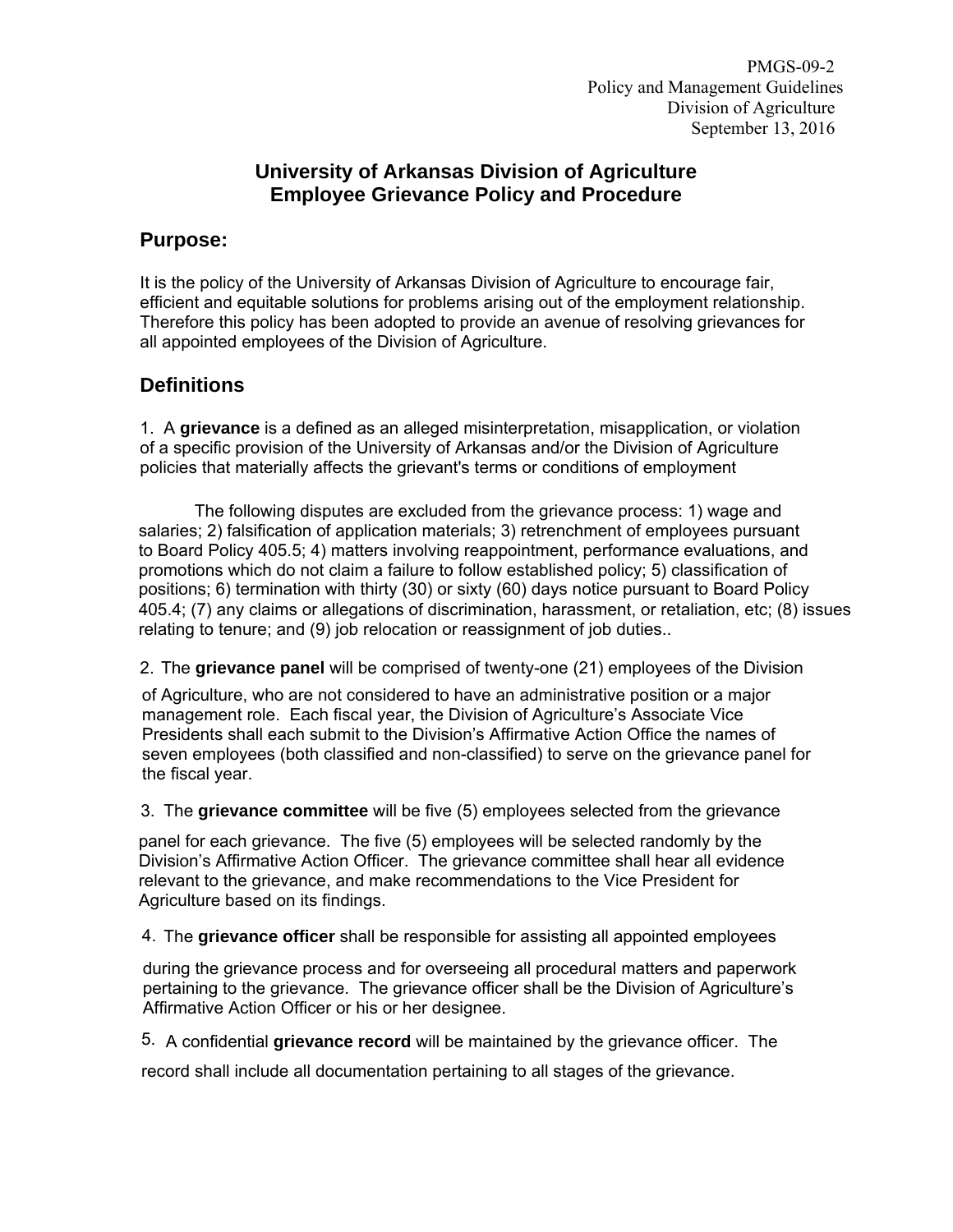PMGS-09-2 Policy and Management Guidelines Division of Agriculture September 13, 2016

#### **University of Arkansas Division of Agriculture Employee Grievance Policy and Procedure**

#### **Purpose:**

It is the policy of the University of Arkansas Division of Agriculture to encourage fair, efficient and equitable solutions for problems arising out of the employment relationship. Therefore this policy has been adopted to provide an avenue of resolving grievances for all appointed employees of the Division of Agriculture.

### **Definitions**

1. A **grievance** is a defined as an alleged misinterpretation, misapplication, or violation of a specific provision of the University of Arkansas and/or the Division of Agriculture policies that materially affects the grievant's terms or conditions of employment

The following disputes are excluded from the grievance process: 1) wage and salaries; 2) falsification of application materials; 3) retrenchment of employees pursuant to Board Policy 405.5; 4) matters involving reappointment, performance evaluations, and promotions which do not claim a failure to follow established policy; 5) classification of positions; 6) termination with thirty (30) or sixty (60) days notice pursuant to Board Policy 405.4; (7) any claims or allegations of discrimination, harassment, or retaliation, etc; (8) issues relating to tenure; and (9) job relocation or reassignment of job duties..

2. The **grievance panel** will be comprised of twenty-one (21) employees of the Division

of Agriculture, who are not considered to have an administrative position or a major management role. Each fiscal year, the Division of Agriculture's Associate Vice Presidents shall each submit to the Division's Affirmative Action Office the names of seven employees (both classified and non-classified) to serve on the grievance panel for the fiscal year.

3. The **grievance committee** will be five (5) employees selected from the grievance

panel for each grievance. The five (5) employees will be selected randomly by the Division's Affirmative Action Officer. The grievance committee shall hear all evidence relevant to the grievance, and make recommendations to the Vice President for Agriculture based on its findings.

4. The **grievance officer** shall be responsible for assisting all appointed employees

during the grievance process and for overseeing all procedural matters and paperwork pertaining to the grievance. The grievance officer shall be the Division of Agriculture's Affirmative Action Officer or his or her designee.

5. A confidential **grievance record** will be maintained by the grievance officer. The

record shall include all documentation pertaining to all stages of the grievance.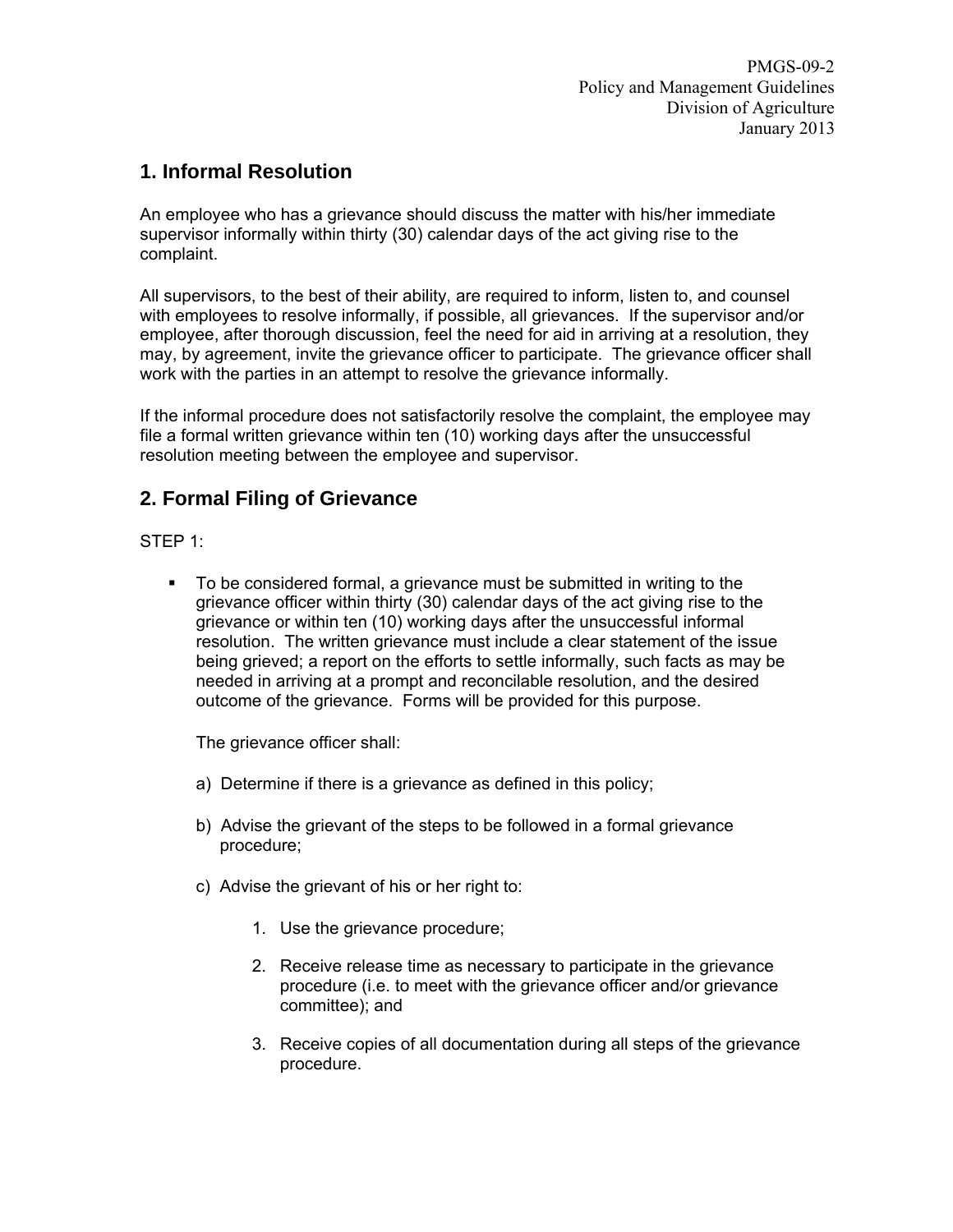### **1. Informal Resolution**

An employee who has a grievance should discuss the matter with his/her immediate supervisor informally within thirty (30) calendar days of the act giving rise to the complaint.

All supervisors, to the best of their ability, are required to inform, listen to, and counsel with employees to resolve informally, if possible, all grievances. If the supervisor and/or employee, after thorough discussion, feel the need for aid in arriving at a resolution, they may, by agreement, invite the grievance officer to participate. The grievance officer shall work with the parties in an attempt to resolve the grievance informally.

If the informal procedure does not satisfactorily resolve the complaint, the employee may file a formal written grievance within ten (10) working days after the unsuccessful resolution meeting between the employee and supervisor.

# **2. Formal Filing of Grievance**

STEP 1:

 To be considered formal, a grievance must be submitted in writing to the grievance officer within thirty (30) calendar days of the act giving rise to the grievance or within ten (10) working days after the unsuccessful informal resolution. The written grievance must include a clear statement of the issue being grieved; a report on the efforts to settle informally, such facts as may be needed in arriving at a prompt and reconcilable resolution, and the desired outcome of the grievance. Forms will be provided for this purpose.

The grievance officer shall:

- a) Determine if there is a grievance as defined in this policy;
- b) Advise the grievant of the steps to be followed in a formal grievance procedure;
- c) Advise the grievant of his or her right to:
	- 1. Use the grievance procedure;
	- 2. Receive release time as necessary to participate in the grievance procedure (i.e. to meet with the grievance officer and/or grievance committee); and
	- 3. Receive copies of all documentation during all steps of the grievance procedure.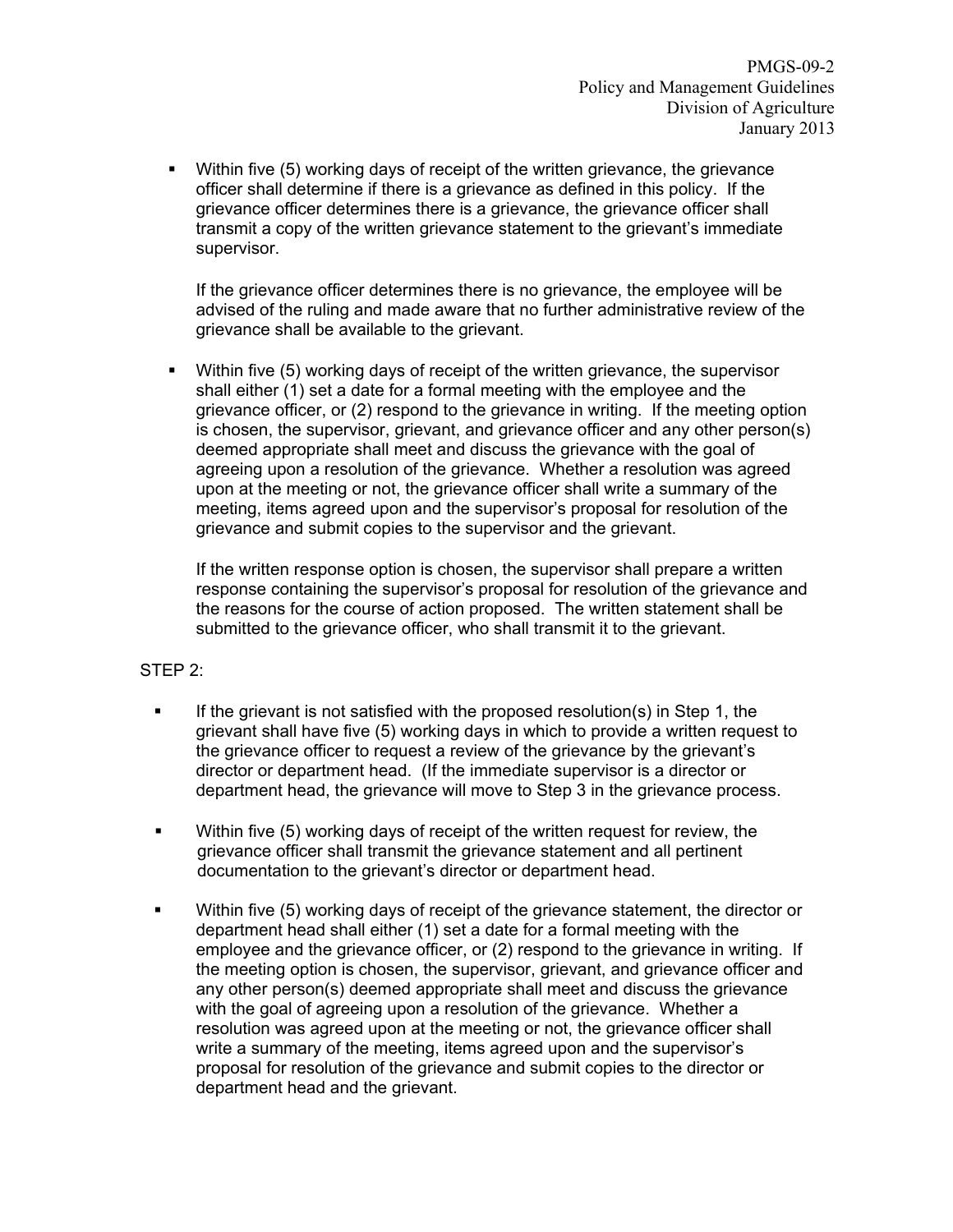Within five (5) working days of receipt of the written grievance, the grievance officer shall determine if there is a grievance as defined in this policy. If the grievance officer determines there is a grievance, the grievance officer shall transmit a copy of the written grievance statement to the grievant's immediate supervisor.

If the grievance officer determines there is no grievance, the employee will be advised of the ruling and made aware that no further administrative review of the grievance shall be available to the grievant.

 Within five (5) working days of receipt of the written grievance, the supervisor shall either (1) set a date for a formal meeting with the employee and the grievance officer, or (2) respond to the grievance in writing. If the meeting option is chosen, the supervisor, grievant, and grievance officer and any other person(s) deemed appropriate shall meet and discuss the grievance with the goal of agreeing upon a resolution of the grievance. Whether a resolution was agreed upon at the meeting or not, the grievance officer shall write a summary of the meeting, items agreed upon and the supervisor's proposal for resolution of the grievance and submit copies to the supervisor and the grievant.

If the written response option is chosen, the supervisor shall prepare a written response containing the supervisor's proposal for resolution of the grievance and the reasons for the course of action proposed. The written statement shall be submitted to the grievance officer, who shall transmit it to the grievant.

#### STEP 2:

- If the grievant is not satisfied with the proposed resolution(s) in Step 1, the grievant shall have five (5) working days in which to provide a written request to the grievance officer to request a review of the grievance by the grievant's director or department head. (If the immediate supervisor is a director or department head, the grievance will move to Step 3 in the grievance process.
- Within five (5) working days of receipt of the written request for review, the grievance officer shall transmit the grievance statement and all pertinent documentation to the grievant's director or department head.
- Within five (5) working days of receipt of the grievance statement, the director or department head shall either (1) set a date for a formal meeting with the employee and the grievance officer, or (2) respond to the grievance in writing. If the meeting option is chosen, the supervisor, grievant, and grievance officer and any other person(s) deemed appropriate shall meet and discuss the grievance with the goal of agreeing upon a resolution of the grievance. Whether a resolution was agreed upon at the meeting or not, the grievance officer shall write a summary of the meeting, items agreed upon and the supervisor's proposal for resolution of the grievance and submit copies to the director or department head and the grievant.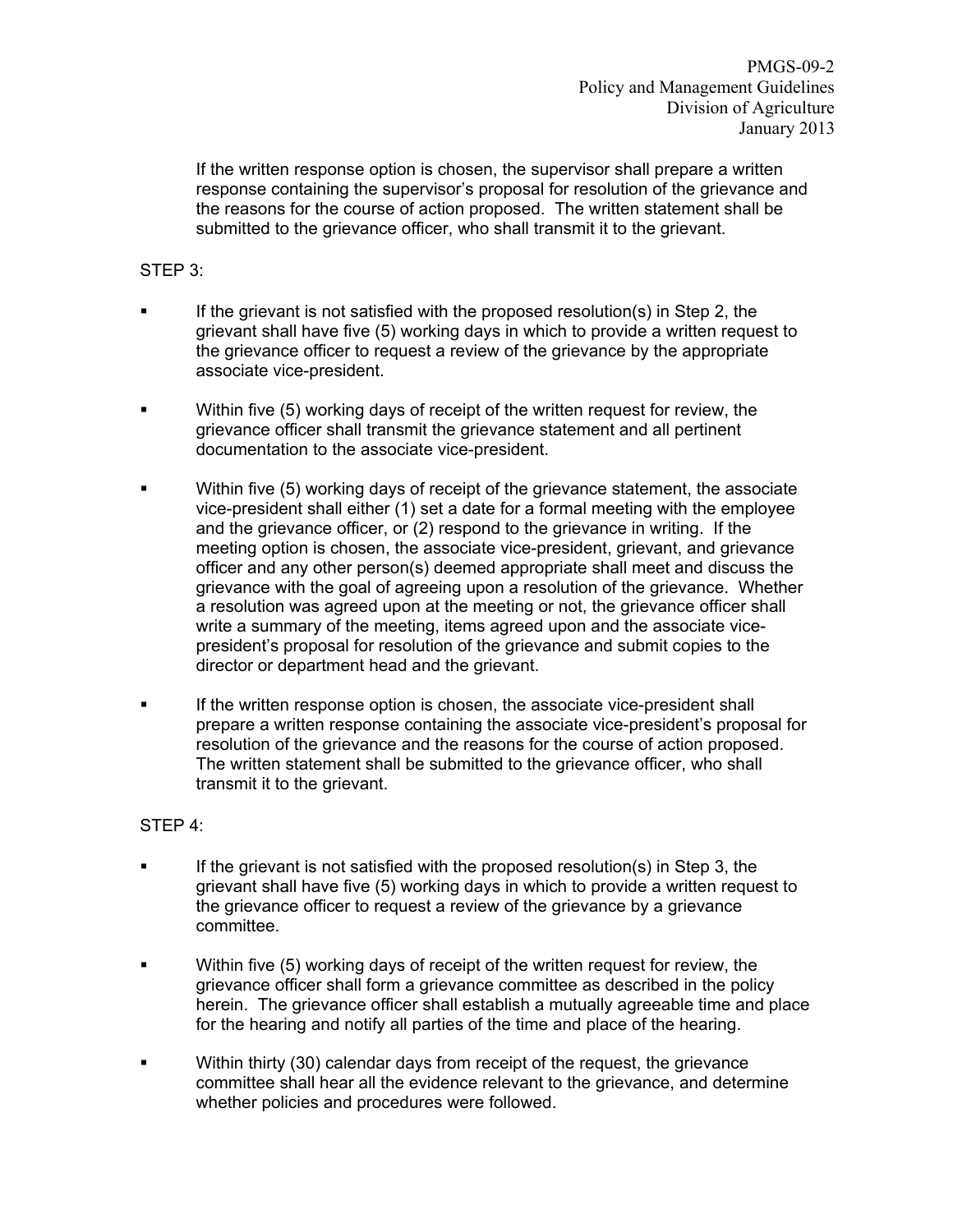If the written response option is chosen, the supervisor shall prepare a written response containing the supervisor's proposal for resolution of the grievance and the reasons for the course of action proposed. The written statement shall be submitted to the grievance officer, who shall transmit it to the grievant.

STEP 3:

- If the grievant is not satisfied with the proposed resolution(s) in Step 2, the grievant shall have five (5) working days in which to provide a written request to the grievance officer to request a review of the grievance by the appropriate associate vice-president.
- Within five (5) working days of receipt of the written request for review, the grievance officer shall transmit the grievance statement and all pertinent documentation to the associate vice-president.
- Within five (5) working days of receipt of the grievance statement, the associate vice-president shall either (1) set a date for a formal meeting with the employee and the grievance officer, or (2) respond to the grievance in writing. If the meeting option is chosen, the associate vice-president, grievant, and grievance officer and any other person(s) deemed appropriate shall meet and discuss the grievance with the goal of agreeing upon a resolution of the grievance. Whether a resolution was agreed upon at the meeting or not, the grievance officer shall write a summary of the meeting, items agreed upon and the associate vicepresident's proposal for resolution of the grievance and submit copies to the director or department head and the grievant.
- **If the written response option is chosen, the associate vice-president shall** prepare a written response containing the associate vice-president's proposal for resolution of the grievance and the reasons for the course of action proposed. The written statement shall be submitted to the grievance officer, who shall transmit it to the grievant.

#### STEP 4:

- If the grievant is not satisfied with the proposed resolution(s) in Step 3, the grievant shall have five (5) working days in which to provide a written request to the grievance officer to request a review of the grievance by a grievance committee.
- Within five (5) working days of receipt of the written request for review, the grievance officer shall form a grievance committee as described in the policy herein. The grievance officer shall establish a mutually agreeable time and place for the hearing and notify all parties of the time and place of the hearing.
- Within thirty (30) calendar days from receipt of the request, the grievance committee shall hear all the evidence relevant to the grievance, and determine whether policies and procedures were followed.